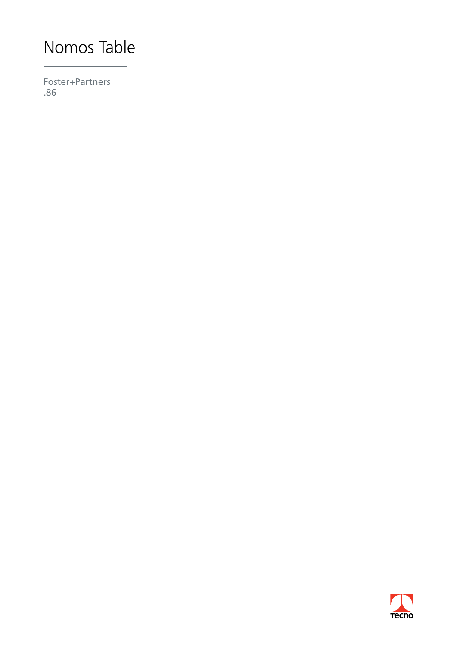Foster+Partners .86

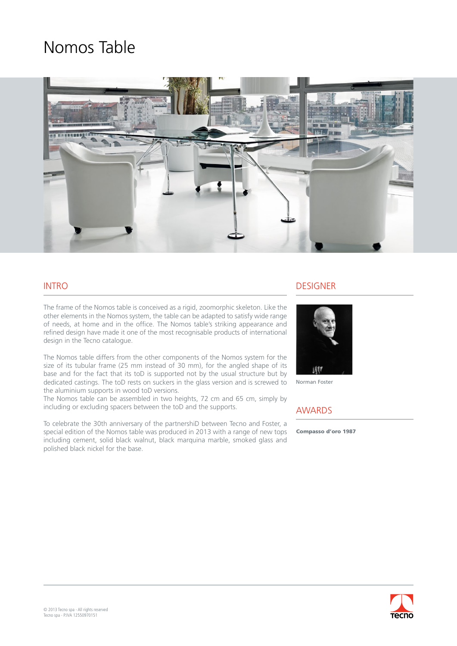

### INTRO

The frame of the Nomos table is conceived as a rigid, zoomorphic skeleton. Like the other elements in the Nomos system, the table can be adapted to satisfy wide range of needs, at home and in the office. The Nomos table's striking appearance and refined design have made it one of the most recognisable products of international design in the Tecno catalogue.

The Nomos table differs from the other components of the Nomos system for the size of its tubular frame (25 mm instead of 30 mm), for the angled shape of its base and for the fact that its toD is supported not by the usual structure but by dedicated castings. The toD rests on suckers in the glass version and is screwed to the aluminium supports in wood toD versions.

The Nomos table can be assembled in two heights, 72 cm and 65 cm, simply by including or excluding spacers between the toD and the supports.

To celebrate the 30th anniversary of the partnershiD between Tecno and Foster, a special edition of the Nomos table was produced in 2013 with a range of new tops including cement, solid black walnut, black marquina marble, smoked glass and polished black nickel for the base.

#### DESIGNER



Norman Foster

### AWARDS

Compasso d'oro 1987

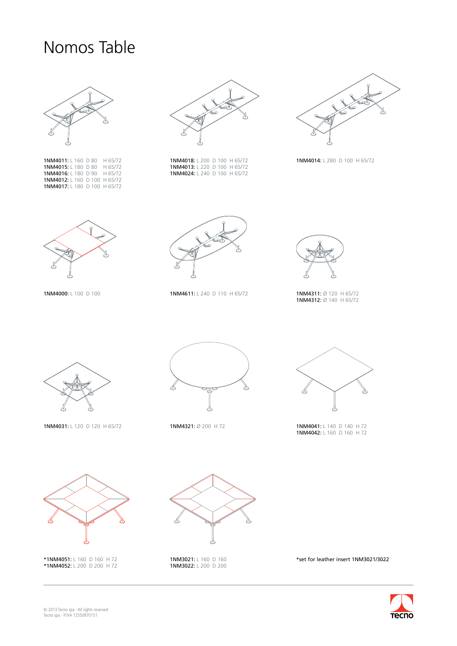

1NM4011: L 160 D 80 H 65/72 1NM4015: L 180 D 80 H 65/72 1NM4016: L 180 D 90 H 65/72 1NM4012: L 160 D 100 H 65/72 1NM4017: L 180 D 100 H 65/72



1NM4018: L 200 D 100 H 65/72 1NM4013: L 220 D 100 H 65/72 1NM4024: L 240 D 100 H 65/72



1NM4014: L 280 D 100 H 65/72



1NM4000: L 100 D 100



1NM4611: L 240 D 110 H 65/72



1NM4311: Ø 120 H 65/72<br>1NM4312: Ø 140 H 65/72



1NM4031: L 120 D 120 H 65/72





1NM4321: Ø 200 H 72 **1NM4041:** L 140 D 140 H 72 1NM4042: L 160 D 160 H 72



1NM3021: L 160 D 160 1NM3022: L 200 D 200



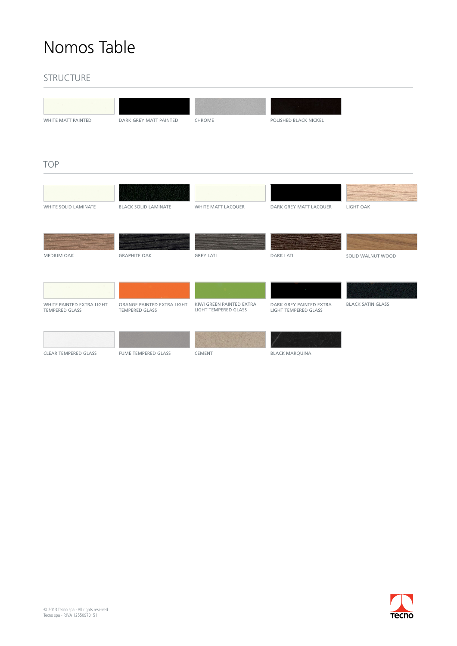### STRUCTURE

| WHITE MATT PAINTED                                 | DARK GREY MATT PAINTED                              | CHROME                                           | POLISHED BLACK NICKEL                           |                          |
|----------------------------------------------------|-----------------------------------------------------|--------------------------------------------------|-------------------------------------------------|--------------------------|
| <b>TOP</b>                                         |                                                     |                                                  |                                                 |                          |
|                                                    |                                                     |                                                  |                                                 |                          |
|                                                    |                                                     |                                                  |                                                 |                          |
| <b>WHITE SOLID LAMINATE</b>                        | <b>BLACK SOLID LAMINATE</b>                         | WHITE MATT LACQUER                               | DARK GREY MATT LACQUER                          | <b>LIGHT OAK</b>         |
|                                                    |                                                     |                                                  |                                                 |                          |
|                                                    |                                                     |                                                  |                                                 |                          |
| <b>MEDIUM OAK</b>                                  | <b>GRAPHITE OAK</b>                                 | <b>GREY LATI</b>                                 | <b>DARK LATI</b>                                | SOLID WALNUT WOOD        |
|                                                    |                                                     |                                                  |                                                 |                          |
|                                                    |                                                     |                                                  | $\sim 10^{-10}$                                 |                          |
| WHITE PAINTED EXTRA LIGHT<br><b>TEMPERED GLASS</b> | ORANGE PAINTED EXTRA LIGHT<br><b>TEMPERED GLASS</b> | KIWI GREEN PAINTED EXTRA<br>LIGHT TEMPERED GLASS | DARK GREY PAINTED EXTRA<br>LIGHT TEMPERED GLASS | <b>BLACK SATIN GLASS</b> |
|                                                    |                                                     |                                                  |                                                 |                          |
|                                                    |                                                     |                                                  |                                                 |                          |
| <b>CLEAR TEMPERED GLASS</b>                        | <b>FUMÈ TEMPERED GLASS</b>                          | CEMENT                                           | <b>BLACK MARQUINA</b>                           |                          |